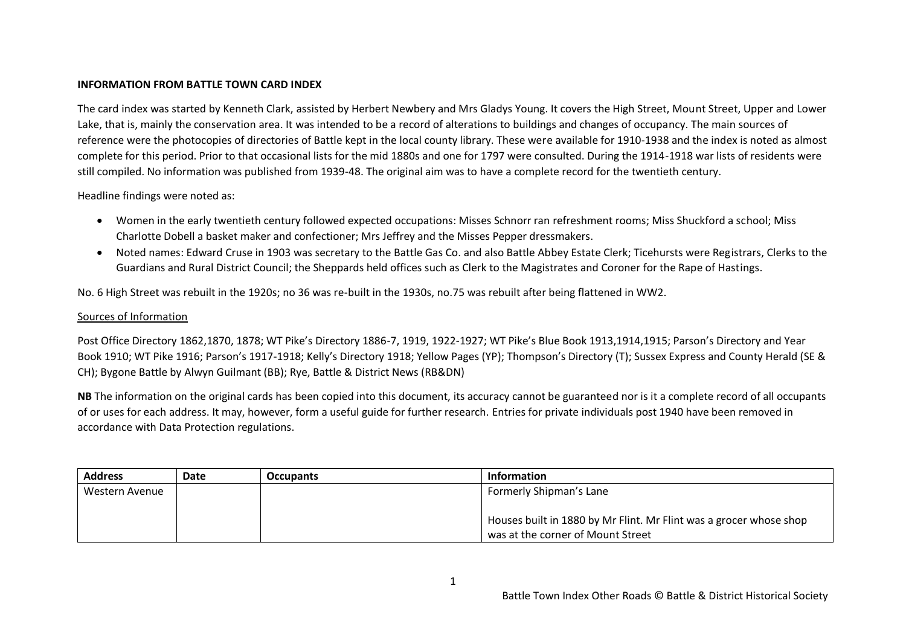## **INFORMATION FROM BATTLE TOWN CARD INDEX**

The card index was started by Kenneth Clark, assisted by Herbert Newbery and Mrs Gladys Young. It covers the High Street, Mount Street, Upper and Lower Lake, that is, mainly the conservation area. It was intended to be a record of alterations to buildings and changes of occupancy. The main sources of reference were the photocopies of directories of Battle kept in the local county library. These were available for 1910-1938 and the index is noted as almost complete for this period. Prior to that occasional lists for the mid 1880s and one for 1797 were consulted. During the 1914-1918 war lists of residents were still compiled. No information was published from 1939-48. The original aim was to have a complete record for the twentieth century.

Headline findings were noted as:

- Women in the early twentieth century followed expected occupations: Misses Schnorr ran refreshment rooms; Miss Shuckford a school; Miss Charlotte Dobell a basket maker and confectioner; Mrs Jeffrey and the Misses Pepper dressmakers.
- Noted names: Edward Cruse in 1903 was secretary to the Battle Gas Co. and also Battle Abbey Estate Clerk; Ticehursts were Registrars, Clerks to the Guardians and Rural District Council; the Sheppards held offices such as Clerk to the Magistrates and Coroner for the Rape of Hastings.

No. 6 High Street was rebuilt in the 1920s; no 36 was re-built in the 1930s, no.75 was rebuilt after being flattened in WW2.

## Sources of Information

Post Office Directory 1862,1870, 1878; WT Pike's Directory 1886-7, 1919, 1922-1927; WT Pike's Blue Book 1913,1914,1915; Parson's Directory and Year Book 1910; WT Pike 1916; Parson's 1917-1918; Kelly's Directory 1918; Yellow Pages (YP); Thompson's Directory (T); Sussex Express and County Herald (SE & CH); Bygone Battle by Alwyn Guilmant (BB); Rye, Battle & District News (RB&DN)

**NB** The information on the original cards has been copied into this document, its accuracy cannot be guaranteed nor is it a complete record of all occupants of or uses for each address. It may, however, form a useful guide for further research. Entries for private individuals post 1940 have been removed in accordance with Data Protection regulations.

| <b>Address</b> | Date | <b>Occupants</b> | <b>Information</b>                                                 |
|----------------|------|------------------|--------------------------------------------------------------------|
| Western Avenue |      |                  | Formerly Shipman's Lane                                            |
|                |      |                  |                                                                    |
|                |      |                  | Houses built in 1880 by Mr Flint. Mr Flint was a grocer whose shop |
|                |      |                  | was at the corner of Mount Street                                  |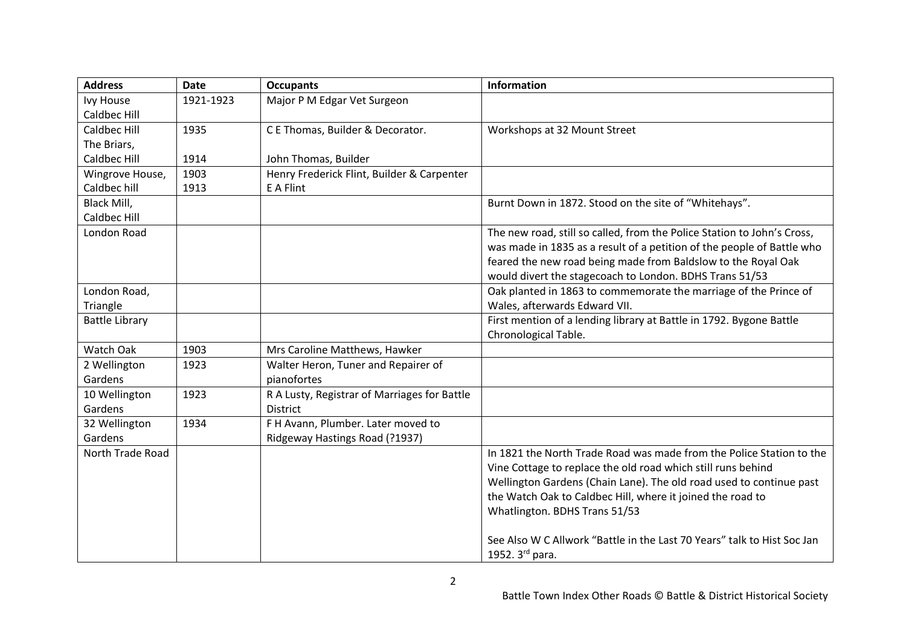| <b>Address</b>        | <b>Date</b> | <b>Occupants</b>                             | <b>Information</b>                                                      |
|-----------------------|-------------|----------------------------------------------|-------------------------------------------------------------------------|
| <b>Ivy House</b>      | 1921-1923   | Major P M Edgar Vet Surgeon                  |                                                                         |
| Caldbec Hill          |             |                                              |                                                                         |
| Caldbec Hill          | 1935        | C E Thomas, Builder & Decorator.             | Workshops at 32 Mount Street                                            |
| The Briars,           |             |                                              |                                                                         |
| <b>Caldbec Hill</b>   | 1914        | John Thomas, Builder                         |                                                                         |
| Wingrove House,       | 1903        | Henry Frederick Flint, Builder & Carpenter   |                                                                         |
| Caldbec hill          | 1913        | E A Flint                                    |                                                                         |
| Black Mill,           |             |                                              | Burnt Down in 1872. Stood on the site of "Whitehays".                   |
| Caldbec Hill          |             |                                              |                                                                         |
| London Road           |             |                                              | The new road, still so called, from the Police Station to John's Cross, |
|                       |             |                                              | was made in 1835 as a result of a petition of the people of Battle who  |
|                       |             |                                              | feared the new road being made from Baldslow to the Royal Oak           |
|                       |             |                                              | would divert the stagecoach to London. BDHS Trans 51/53                 |
| London Road,          |             |                                              | Oak planted in 1863 to commemorate the marriage of the Prince of        |
| Triangle              |             |                                              | Wales, afterwards Edward VII.                                           |
| <b>Battle Library</b> |             |                                              | First mention of a lending library at Battle in 1792. Bygone Battle     |
|                       |             |                                              | Chronological Table.                                                    |
| Watch Oak             | 1903        | Mrs Caroline Matthews, Hawker                |                                                                         |
| 2 Wellington          | 1923        | Walter Heron, Tuner and Repairer of          |                                                                         |
| Gardens               |             | pianofortes                                  |                                                                         |
| 10 Wellington         | 1923        | R A Lusty, Registrar of Marriages for Battle |                                                                         |
| Gardens               |             | <b>District</b>                              |                                                                         |
| 32 Wellington         | 1934        | F H Avann, Plumber. Later moved to           |                                                                         |
| Gardens               |             | Ridgeway Hastings Road (?1937)               |                                                                         |
| North Trade Road      |             |                                              | In 1821 the North Trade Road was made from the Police Station to the    |
|                       |             |                                              | Vine Cottage to replace the old road which still runs behind            |
|                       |             |                                              | Wellington Gardens (Chain Lane). The old road used to continue past     |
|                       |             |                                              | the Watch Oak to Caldbec Hill, where it joined the road to              |
|                       |             |                                              | Whatlington. BDHS Trans 51/53                                           |
|                       |             |                                              |                                                                         |
|                       |             |                                              | See Also W C Allwork "Battle in the Last 70 Years" talk to Hist Soc Jan |
|                       |             |                                              | 1952. 3rd para.                                                         |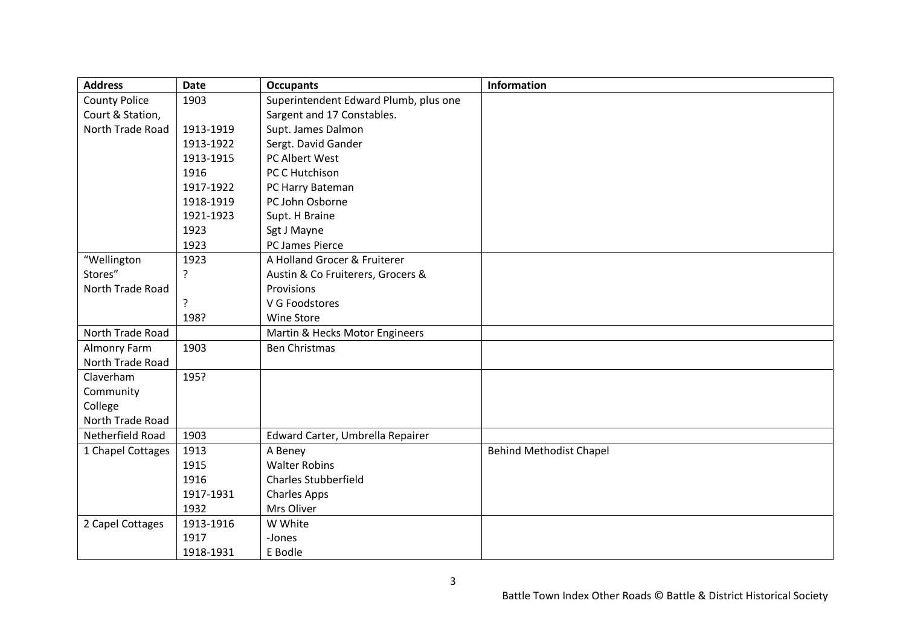| <b>Address</b>       | <b>Date</b> | <b>Occupants</b>                      | Information                    |
|----------------------|-------------|---------------------------------------|--------------------------------|
| <b>County Police</b> | 1903        | Superintendent Edward Plumb, plus one |                                |
| Court & Station,     |             | Sargent and 17 Constables.            |                                |
| North Trade Road     | 1913-1919   | Supt. James Dalmon                    |                                |
|                      | 1913-1922   | Sergt. David Gander                   |                                |
|                      | 1913-1915   | PC Albert West                        |                                |
|                      | 1916        | PC C Hutchison                        |                                |
|                      | 1917-1922   | PC Harry Bateman                      |                                |
|                      | 1918-1919   | PC John Osborne                       |                                |
|                      | 1921-1923   | Supt. H Braine                        |                                |
|                      | 1923        | Sgt J Mayne                           |                                |
|                      | 1923        | PC James Pierce                       |                                |
| "Wellington          | 1923        | A Holland Grocer & Fruiterer          |                                |
| Stores"              | ?           | Austin & Co Fruiterers, Grocers &     |                                |
| North Trade Road     |             | Provisions                            |                                |
|                      | ?           | V G Foodstores                        |                                |
|                      | 198?        | Wine Store                            |                                |
| North Trade Road     |             | Martin & Hecks Motor Engineers        |                                |
| Almonry Farm         | 1903        | <b>Ben Christmas</b>                  |                                |
| North Trade Road     |             |                                       |                                |
| Claverham            | 195?        |                                       |                                |
| Community            |             |                                       |                                |
| College              |             |                                       |                                |
| North Trade Road     |             |                                       |                                |
| Netherfield Road     | 1903        | Edward Carter, Umbrella Repairer      |                                |
| 1 Chapel Cottages    | 1913        | A Beney                               | <b>Behind Methodist Chapel</b> |
|                      | 1915        | <b>Walter Robins</b>                  |                                |
|                      | 1916        | <b>Charles Stubberfield</b>           |                                |
|                      | 1917-1931   | <b>Charles Apps</b>                   |                                |
|                      | 1932        | Mrs Oliver                            |                                |
| 2 Capel Cottages     | 1913-1916   | W White                               |                                |
|                      | 1917        | -Jones                                |                                |
|                      | 1918-1931   | E Bodle                               |                                |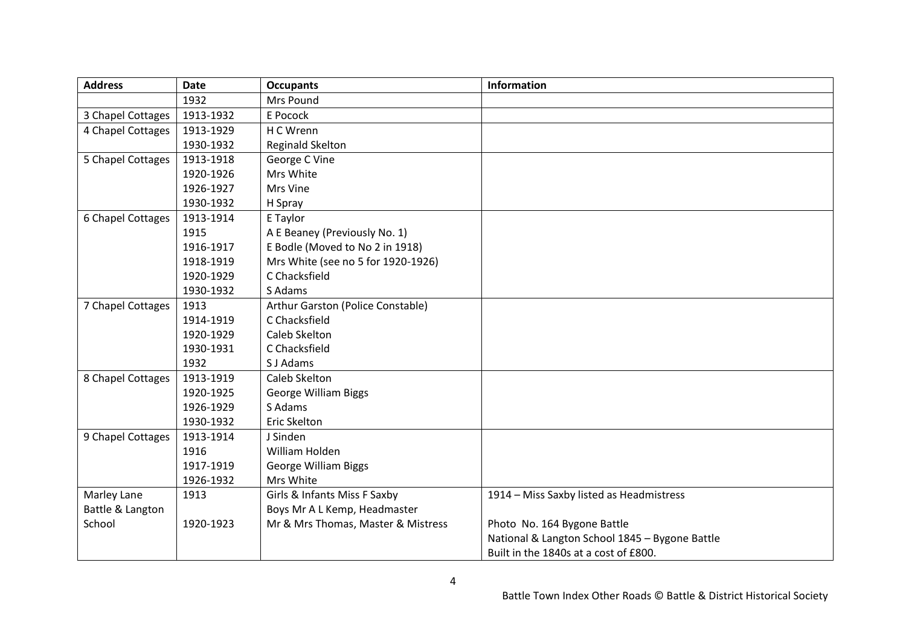| <b>Address</b>    | <b>Date</b> | <b>Occupants</b>                   | <b>Information</b>                             |
|-------------------|-------------|------------------------------------|------------------------------------------------|
|                   | 1932        | Mrs Pound                          |                                                |
| 3 Chapel Cottages | 1913-1932   | E Pocock                           |                                                |
| 4 Chapel Cottages | 1913-1929   | H C Wrenn                          |                                                |
|                   | 1930-1932   | Reginald Skelton                   |                                                |
| 5 Chapel Cottages | 1913-1918   | George C Vine                      |                                                |
|                   | 1920-1926   | Mrs White                          |                                                |
|                   | 1926-1927   | Mrs Vine                           |                                                |
|                   | 1930-1932   | H Spray                            |                                                |
| 6 Chapel Cottages | 1913-1914   | E Taylor                           |                                                |
|                   | 1915        | A E Beaney (Previously No. 1)      |                                                |
|                   | 1916-1917   | E Bodle (Moved to No 2 in 1918)    |                                                |
|                   | 1918-1919   | Mrs White (see no 5 for 1920-1926) |                                                |
|                   | 1920-1929   | C Chacksfield                      |                                                |
|                   | 1930-1932   | S Adams                            |                                                |
| 7 Chapel Cottages | 1913        | Arthur Garston (Police Constable)  |                                                |
|                   | 1914-1919   | C Chacksfield                      |                                                |
|                   | 1920-1929   | Caleb Skelton                      |                                                |
|                   | 1930-1931   | C Chacksfield                      |                                                |
|                   | 1932        | S J Adams                          |                                                |
| 8 Chapel Cottages | 1913-1919   | Caleb Skelton                      |                                                |
|                   | 1920-1925   | <b>George William Biggs</b>        |                                                |
|                   | 1926-1929   | S Adams                            |                                                |
|                   | 1930-1932   | Eric Skelton                       |                                                |
| 9 Chapel Cottages | 1913-1914   | J Sinden                           |                                                |
|                   | 1916        | William Holden                     |                                                |
|                   | 1917-1919   | <b>George William Biggs</b>        |                                                |
|                   | 1926-1932   | Mrs White                          |                                                |
| Marley Lane       | 1913        | Girls & Infants Miss F Saxby       | 1914 - Miss Saxby listed as Headmistress       |
| Battle & Langton  |             | Boys Mr A L Kemp, Headmaster       |                                                |
| School            | 1920-1923   | Mr & Mrs Thomas, Master & Mistress | Photo No. 164 Bygone Battle                    |
|                   |             |                                    | National & Langton School 1845 - Bygone Battle |
|                   |             |                                    | Built in the 1840s at a cost of £800.          |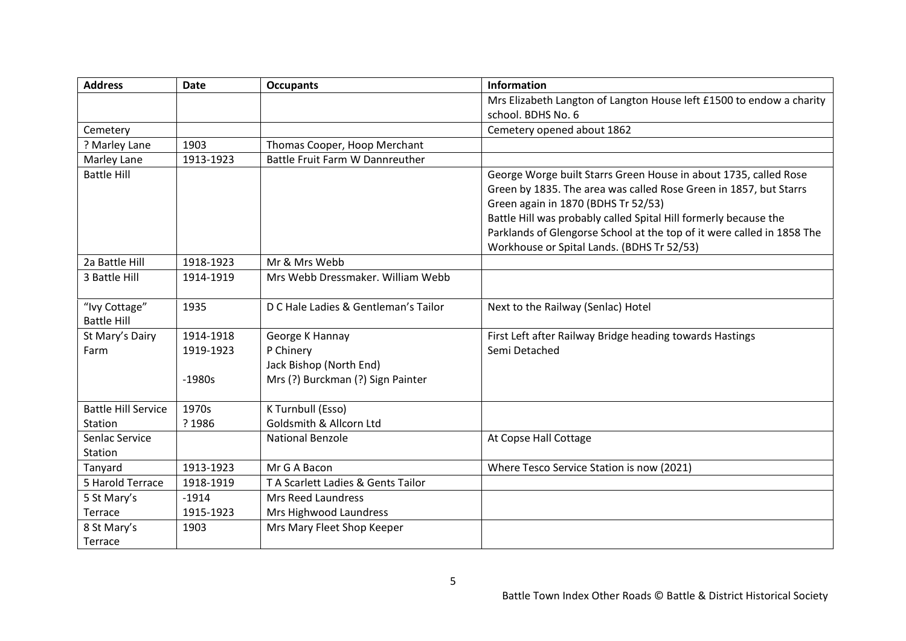| <b>Address</b>             | <b>Date</b> | <b>Occupants</b>                     | <b>Information</b>                                                     |
|----------------------------|-------------|--------------------------------------|------------------------------------------------------------------------|
|                            |             |                                      | Mrs Elizabeth Langton of Langton House left £1500 to endow a charity   |
|                            |             |                                      | school. BDHS No. 6                                                     |
| Cemetery                   |             |                                      | Cemetery opened about 1862                                             |
| ? Marley Lane              | 1903        | Thomas Cooper, Hoop Merchant         |                                                                        |
| Marley Lane                | 1913-1923   | Battle Fruit Farm W Dannreuther      |                                                                        |
| <b>Battle Hill</b>         |             |                                      | George Worge built Starrs Green House in about 1735, called Rose       |
|                            |             |                                      | Green by 1835. The area was called Rose Green in 1857, but Starrs      |
|                            |             |                                      | Green again in 1870 (BDHS Tr 52/53)                                    |
|                            |             |                                      | Battle Hill was probably called Spital Hill formerly because the       |
|                            |             |                                      | Parklands of Glengorse School at the top of it were called in 1858 The |
|                            |             |                                      | Workhouse or Spital Lands. (BDHS Tr 52/53)                             |
| 2a Battle Hill             | 1918-1923   | Mr & Mrs Webb                        |                                                                        |
| 3 Battle Hill              | 1914-1919   | Mrs Webb Dressmaker. William Webb    |                                                                        |
|                            |             |                                      |                                                                        |
| "Ivy Cottage"              | 1935        | D C Hale Ladies & Gentleman's Tailor | Next to the Railway (Senlac) Hotel                                     |
| <b>Battle Hill</b>         |             |                                      |                                                                        |
| St Mary's Dairy            | 1914-1918   | George K Hannay                      | First Left after Railway Bridge heading towards Hastings               |
| Farm                       | 1919-1923   | P Chinery                            | Semi Detached                                                          |
|                            |             | Jack Bishop (North End)              |                                                                        |
|                            | $-1980s$    | Mrs (?) Burckman (?) Sign Painter    |                                                                        |
|                            |             |                                      |                                                                        |
| <b>Battle Hill Service</b> | 1970s       | K Turnbull (Esso)                    |                                                                        |
| Station                    | ? 1986      | Goldsmith & Allcorn Ltd              |                                                                        |
| Senlac Service             |             | <b>National Benzole</b>              | At Copse Hall Cottage                                                  |
| Station                    |             |                                      |                                                                        |
| Tanyard                    | 1913-1923   | Mr G A Bacon                         | Where Tesco Service Station is now (2021)                              |
| 5 Harold Terrace           | 1918-1919   | T A Scarlett Ladies & Gents Tailor   |                                                                        |
| 5 St Mary's                | $-1914$     | Mrs Reed Laundress                   |                                                                        |
| Terrace                    | 1915-1923   | Mrs Highwood Laundress               |                                                                        |
| 8 St Mary's                | 1903        | Mrs Mary Fleet Shop Keeper           |                                                                        |
| Terrace                    |             |                                      |                                                                        |